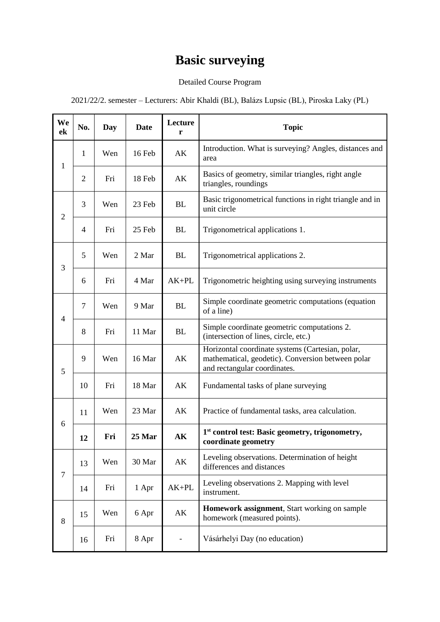## **Basic surveying**

## Detailed Course Program

2021/22/2. semester – Lecturers: Abir Khaldi (BL), Balázs Lupsic (BL), Piroska Laky (PL)

| We<br>ek       | No.            | Day | <b>Date</b> | Lecture<br>r | <b>Topic</b>                                                                                                                          |
|----------------|----------------|-----|-------------|--------------|---------------------------------------------------------------------------------------------------------------------------------------|
| $\mathbf{1}$   | $\mathbf{1}$   | Wen | 16 Feb      | AK           | Introduction. What is surveying? Angles, distances and<br>area                                                                        |
|                | $\overline{2}$ | Fri | 18 Feb      | AK           | Basics of geometry, similar triangles, right angle<br>triangles, roundings                                                            |
| $\overline{2}$ | 3              | Wen | 23 Feb      | <b>BL</b>    | Basic trigonometrical functions in right triangle and in<br>unit circle                                                               |
|                | $\overline{4}$ | Fri | 25 Feb      | <b>BL</b>    | Trigonometrical applications 1.                                                                                                       |
| 3              | 5              | Wen | 2 Mar       | <b>BL</b>    | Trigonometrical applications 2.                                                                                                       |
|                | 6              | Fri | 4 Mar       | $AK+PL$      | Trigonometric heighting using surveying instruments                                                                                   |
| $\overline{4}$ | $\overline{7}$ | Wen | 9 Mar       | <b>BL</b>    | Simple coordinate geometric computations (equation<br>of a line)                                                                      |
|                | 8              | Fri | 11 Mar      | <b>BL</b>    | Simple coordinate geometric computations 2.<br>(intersection of lines, circle, etc.)                                                  |
| 5              | 9              | Wen | 16 Mar      | AK           | Horizontal coordinate systems (Cartesian, polar,<br>mathematical, geodetic). Conversion between polar<br>and rectangular coordinates. |
|                | 10             | Fri | 18 Mar      | AK           | Fundamental tasks of plane surveying                                                                                                  |
| 6              | 11             | Wen | 23 Mar      | AK           | Practice of fundamental tasks, area calculation.                                                                                      |
|                | 12             | Fri | 25 Mar      | AK           | 1 <sup>st</sup> control test: Basic geometry, trigonometry,<br>coordinate geometry                                                    |
| $\tau$         | 13             | Wen | 30 Mar      | AK           | Leveling observations. Determination of height<br>differences and distances                                                           |
|                | 14             | Fri | 1 Apr       | $AK+PL$      | Leveling observations 2. Mapping with level<br>instrument.                                                                            |
| 8              | 15             | Wen | 6 Apr       | AK           | Homework assignment, Start working on sample<br>homework (measured points).                                                           |
|                | 16             | Fri | 8 Apr       |              | Vásárhelyi Day (no education)                                                                                                         |